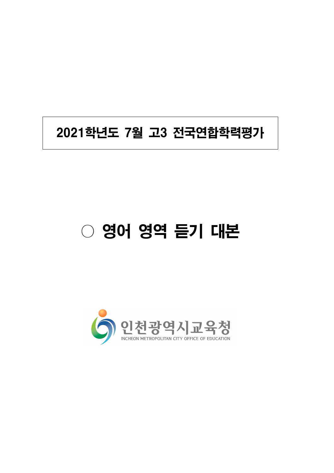## 2021학년도 7월 고3 전국연합학력평가

# ○ 영어 영역 듣기 대본

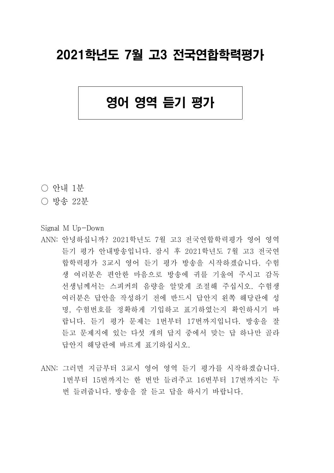## 2021학년도 7월 고3 전국연합학력평가

### 영어 영역 듣기 평가

- 안내 1분
- 방송 22분

Signal M Up-Down

- ANN: 안녕하십니까? 2021학년도 7월 고3 전국연합학력평가 영어 영역 듣기 평가 안내방송입니다. 잠시 후 2021학년도 7월 고3 전국연 합학력평가 3교시 영어 듣기 평가 방송을 시작하겠습니다. 수험 생 여러분은 편안한 마음으로 방송에 귀를 기울여 주시고 감독 선생님께서는 스피커의 음량을 알맞게 조절해 주십시오. 수험생 여러분은 답안을 작성하기 전에 반드시 답안지 왼쪽 해당란에 성 명, 수험번호를 정확하게 기입하고 표기하였는지 확인하시기 바 랍니다. 듣기 평가 문제는 1번부터 17번까지입니다. 방송을 잘 듣고 문제지에 있는 다섯 개의 답지 중에서 맞는 답 하나만 골라 답안지 해당란에 바르게 표기하십시오.
- ANN: 그러면 지금부터 3교시 영어 영역 듣기 평가를 시작하겠습니다. 1번부터 15번까지는 한 번만 들려주고 16번부터 17번까지는 두 번 들려줍니다. 방송을 잘 듣고 답을 하시기 바랍니다.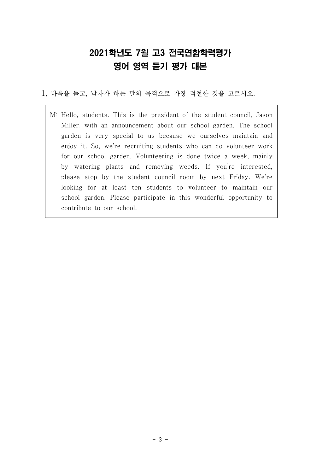#### 2021학년도 7월 고3 전국연합학력평가 영어 영역 듣기 평가 대본

1. 다음을 듣고, 남자가 하는 말의 목적으로 가장 적절한 것을 고르시오.

 school garden. Please participate in this wonderful opportunity to M: Hello, students. This is the president of the student council, Jason Miller, with an announcement about our school garden. The school garden is very special to us because we ourselves maintain and enjoy it. So, we're recruiting students who can do volunteer work for our school garden. Volunteering is done twice a week, mainly by watering plants and removing weeds. If you're interested, please stop by the student council room by next Friday. We're looking for at least ten students to volunteer to maintain our contribute to our school.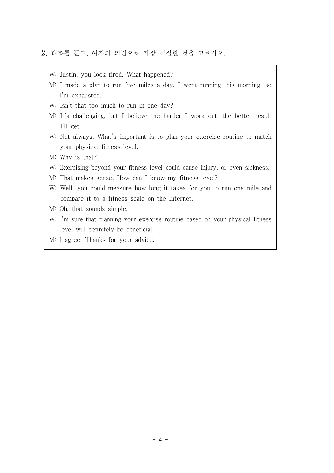#### 2. 대화를 듣고, 여자의 의견으로 가장 적절한 것을 고르시오.

| W: Justin, you look tired. What happened?                                      |  |
|--------------------------------------------------------------------------------|--|
| M: I made a plan to run five miles a day. I went running this morning, so      |  |
| I'm exhausted.                                                                 |  |
| W: Isn't that too much to run in one day?                                      |  |
| M: It's challenging, but I believe the harder I work out, the better result    |  |
| I'll get.                                                                      |  |
| W: Not always. What's important is to plan your exercise routine to match      |  |
| your physical fitness level.                                                   |  |
| M: Why is that?                                                                |  |
| W: Exercising beyond your fitness level could cause injury, or even sickness.  |  |
| M: That makes sense. How can I know my fitness level?                          |  |
| W: Well, you could measure how long it takes for you to run one mile and       |  |
| compare it to a fitness scale on the Internet.                                 |  |
| M: Oh, that sounds simple.                                                     |  |
| W: I'm sure that planning your exercise routine based on your physical fitness |  |
| level will definitely be beneficial.                                           |  |
| M: I agree. Thanks for your advice.                                            |  |
|                                                                                |  |
|                                                                                |  |
|                                                                                |  |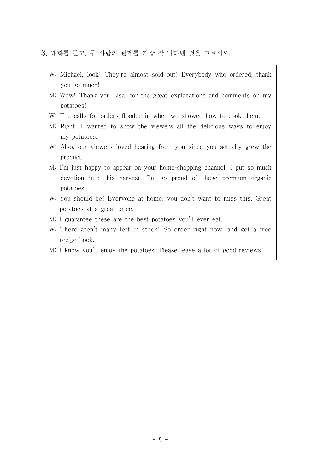3. 대화를 듣고, 두 사람의 관계를 가장 잘 나타낸 것을 고르시오.

- W: Michael, look! They're almost sold out! Everybody who ordered, thank you so much!
- M: Wow! Thank you Lisa, for the great explanations and comments on my potatoes!
- W: The calls for orders flooded in when we showed how to cook them.
- M: Right, I wanted to show the viewers all the delicious ways to enjoy my potatoes.
- W: Also, our viewers loved hearing from you since you actually grew the product.
- M: I'm just happy to appear on your homeshopping channel. I put so much devotion into this harvest. I'm so proud of these premium organic potatoes.
- W: You should be! Everyone at home, you don't want to miss this. Great potatoes at a great price.
- M: I guarantee these are the best potatoes you'll ever eat.
- W: There aren't many left in stock! So order right now, and get a free recipe book.
- M: I know you'll enjoy the potatoes. Please leave a lot of good reviews!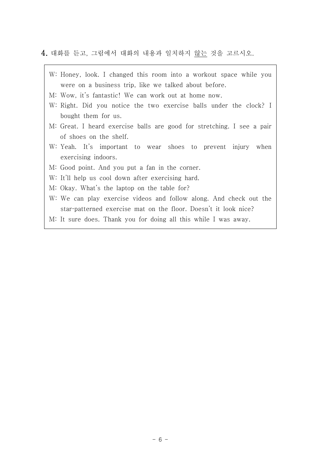4. 대화를 듣고, 그림에서 대화의 내용과 일치하지 않는 것을 고르시오.

- W: Honey, look. I changed this room into a workout space while you were on a business trip, like we talked about before.
- M: Wow, it's fantastic! We can work out at home now.
- W: Right. Did you notice the two exercise balls under the clock? I bought them for us.
- M: Great. I heard exercise balls are good for stretching. I see a pair of shoes on the shelf.
- W: Yeah. It's important to wear shoes to prevent injury when exercising indoors.
- M: Good point. And you put a fan in the corner.
- W: It'll help us cool down after exercising hard.
- M: Okay. What's the laptop on the table for?
- W: We can play exercise videos and follow along. And check out the star-patterned exercise mat on the floor. Doesn't it look nice?
- M: It sure does. Thank you for doing all this while I was away.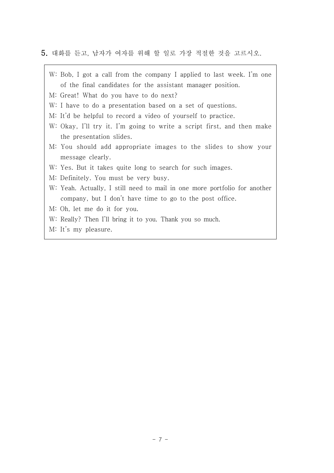5. 대화를 듣고, 남자가 여자를 위해 할 일로 가장 적절한 것을 고르시오.

- W: Bob, I got a call from the company I applied to last week. I'm one of the final candidates for the assistant manager position.
- M: Great! What do you have to do next?
- W: I have to do a presentation based on a set of questions.
- M: It'd be helpful to record a video of yourself to practice.
- W: Okay, I'll try it. I'm going to write a script first, and then make the presentation slides.
- M: You should add appropriate images to the slides to show your message clearly.
- W: Yes. But it takes quite long to search for such images.
- M: Definitely. You must be very busy.
- W: Yeah. Actually, I still need to mail in one more portfolio for another company, but I don't have time to go to the post office.
- M: Oh, let me do it for you.
- W: Really? Then I'll bring it to you. Thank you so much.
- M: It's my pleasure.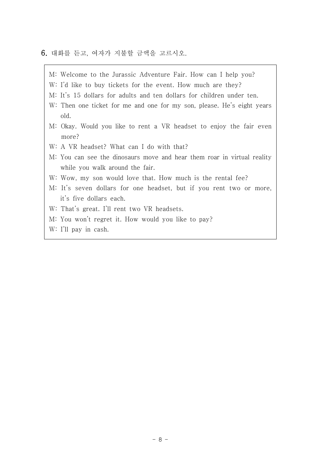$6.$  대화를 듣고, 여자가 지불할 금액을 고르시오.

| M: Welcome to the Jurassic Adventure Fair. How can I help you?<br>W: I'd like to buy tickets for the event. How much are they?<br>M: It's 15 dollars for adults and ten dollars for children under ten.<br>W: Then one ticket for me and one for my son, please. He's eight years<br>old. |  |
|-------------------------------------------------------------------------------------------------------------------------------------------------------------------------------------------------------------------------------------------------------------------------------------------|--|
| M: Okay. Would you like to rent a VR headset to enjoy the fair even<br>more?                                                                                                                                                                                                              |  |
| W: A VR headset? What can I do with that?                                                                                                                                                                                                                                                 |  |
| M: You can see the dinosaurs move and hear them roar in virtual reality<br>while you walk around the fair.                                                                                                                                                                                |  |
| W: Wow, my son would love that. How much is the rental fee?                                                                                                                                                                                                                               |  |
| M: It's seven dollars for one headset, but if you rent two or more,<br>it's five dollars each.                                                                                                                                                                                            |  |
| W: That's great. I'll rent two VR headsets.                                                                                                                                                                                                                                               |  |
| M: You won't regret it. How would you like to pay?                                                                                                                                                                                                                                        |  |
| W: I'll pay in cash.                                                                                                                                                                                                                                                                      |  |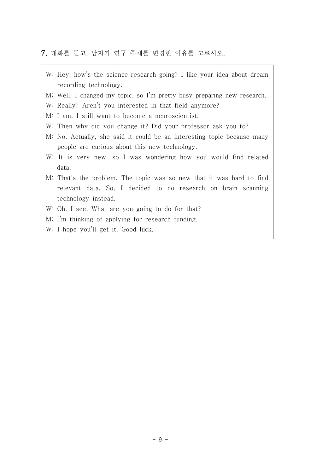7. 대화를 듣고, 남자가 연구 주제를 변경한 이유를 고르시오.

- W: Hey, how's the science research going? I like your idea about dream recording technology.
- M: Well, I changed my topic, so I'm pretty busy preparing new research.
- W: Really? Aren't you interested in that field anymore?
- M: I am. I still want to become a neuroscientist.
- W: Then why did you change it? Did your professor ask you to?
- M: No. Actually, she said it could be an interesting topic because many people are curious about this new technology.
- W: It is very new, so I was wondering how you would find related data.
- M: That's the problem. The topic was so new that it was hard to find relevant data. So, I decided to do research on brain scanning technology instead.
- W: Oh, I see. What are you going to do for that?
- M: I'm thinking of applying for research funding.
- W: I hope you'll get it. Good luck.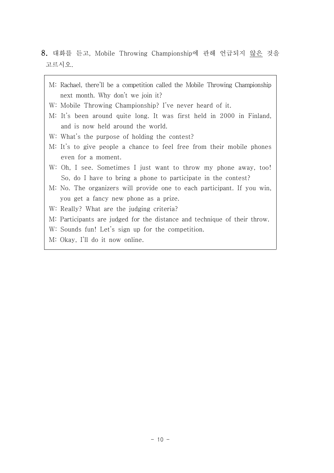- 8. 대화를 듣고, Mobile Throwing Championship에 관해 언급되지 않은 것을 고르시오.
	- M: Rachael, there'll be a competition called the Mobile Throwing Championship next month. Why don't we join it?
	- W: Mobile Throwing Championship? I've never heard of it.
	- M: It's been around quite long. It was first held in 2000 in Finland, and is now held around the world.
	- W: What's the purpose of holding the contest?
	- M: It's to give people a chance to feel free from their mobile phones even for a moment.
	- W: Oh, I see. Sometimes I just want to throw my phone away, too! So, do I have to bring a phone to participate in the contest?
	- M: No. The organizers will provide one to each participant. If you win, you get a fancy new phone as a prize.
	- W: Really? What are the judging criteria?
	- M: Participants are judged for the distance and technique of their throw.
	- W: Sounds fun! Let's sign up for the competition.
	- M: Okay, I'll do it now online.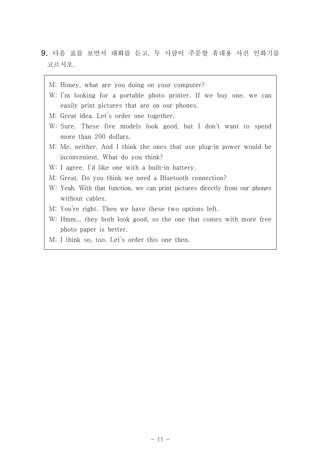- 9. 다음 표를 보면서 대화를 듣고, 두 사람이 주문할 휴대용 사진 인화기를 고르시오.
	- M: Honey, what are you doing on your computer?
	- W: I'm looking for a portable photo printer. If we buy one, we can easily print pictures that are on our phones.
	- M: Great idea. Let's order one together.
	- W: Sure. These five models look good, but I don't want to spend more than 200 dollars.
	- M: Me, neither. And I think the ones that use plug-in power would be inconvenient. What do you think?
	- $W: I$  agree. I'd like one with a built-in battery.
	- M: Great. Do you think we need a Bluetooth connection?
	- W: Yeah. With that function, we can print pictures directly from our phones without cables.
	- M: You're right. Then we have these two options left.
	- W: Hmm... they both look good, so the one that comes with more free photo paper is better.
	- M: I think so, too. Let's order this one then.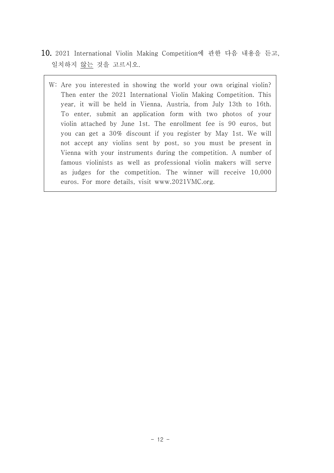- 10. 2021 International Violin Making Competition에 관한 다음 내용을 듣고, 일치하지 않는 것을 고르시오.
	- W: Are you interested in showing the world your own original violin? Then enter the 2021 International Violin Making Competition. This year, it will be held in Vienna, Austria, from July 13th to 16th. To enter, submit an application form with two photos of your violin attached by June 1st. The enrollment fee is 90 euros, but you can get a 30% discount if you register by May 1st. We will not accept any violins sent by post, so you must be present in Vienna with your instruments during the competition. A number of famous violinists as well as professional violin makers will serve as judges for the competition. The winner will receive 10,000 euros. For more details, visit www.2021VMC.org.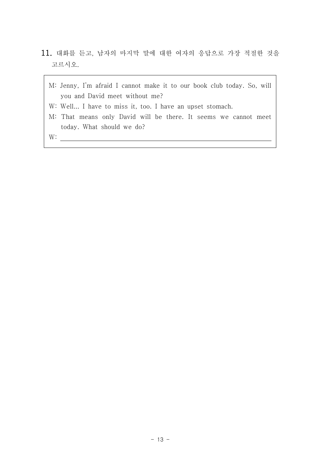- 11. 대화를 듣고, 남자의 마지막 말에 대한 여자의 응답으로 가장 적절한 것을 고르시오.
	- M: Jenny, I'm afraid I cannot make it to our book club today. So, will you and David meet without me?
	- W: Well... I have to miss it, too. I have an upset stomach.
	- M: That means only David will be there. It seems we cannot meet today. What should we do?
	- W: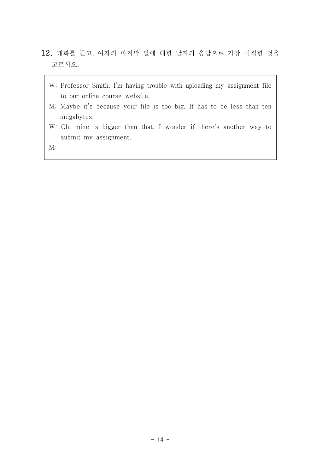- 12. 대화를 듣고, 여자의 마지막 말에 대한 남자의 응답으로 가장 적절한 것을 고르시오.
	- W: Professor Smith, I'm having trouble with uploading my assignment file to our online course website.
	- M: Maybe it's because your file is too big. It has to be less than ten megabytes.
	- W: Oh, mine is bigger than that. I wonder if there's another way to submit my assignment.

M: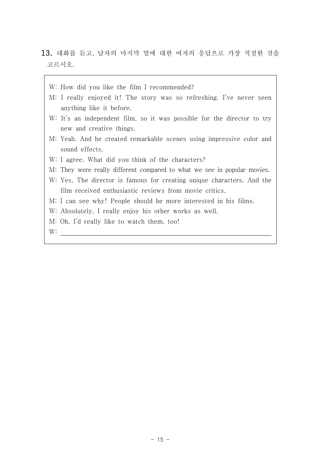- 13. 대화를 듣고, 남자의 마지막 말에 대한 여자의 응답으로 가장 적절한 것을 고르시오.
	- W: How did you like the film I recommended?
	- M: I really enjoyed it! The story was so refreshing. I've never seen anything like it before.
	- W: It's an independent film, so it was possible for the director to try new and creative things.
	- M: Yeah. And he created remarkable scenes using impressive color and sound effects.
	- W: I agree. What did you think of the characters?
	- M: They were really different compared to what we see in popular movies.
	- W: Yes. The director is famous for creating unique characters. And the film received enthusiastic reviews from movie critics.
	- M: I can see why! People should be more interested in his films.
	- W: Absolutely. I really enjoy his other works as well.
	- M: Oh, I'd really like to watch them, too!
	- $W:$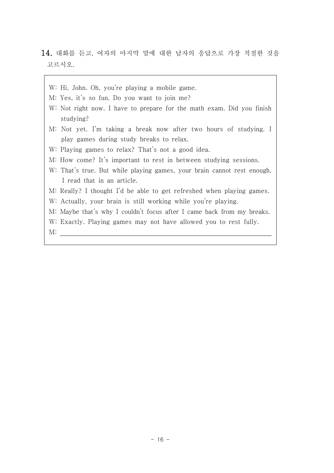- 14. 대화를 듣고, 여자의 마지막 말에 대한 남자의 응답으로 가장 적절한 것을 고르시오.
	- W: Hi, John. Oh, you're playing a mobile game.
	- M: Yes, it's so fun. Do you want to join me?
	- W: Not right now. I have to prepare for the math exam. Did you finish studying?
	- M: Not yet. I'm taking a break now after two hours of studying. I play games during study breaks to relax.
	- W: Playing games to relax? That's not a good idea.
	- M: How come? It's important to rest in between studying sessions.
	- W: That's true. But while playing games, your brain cannot rest enough. I read that in an article.
	- M: Really? I thought I'd be able to get refreshed when playing games.
	- W: Actually, your brain is still working while you're playing.
	- M: Maybe that's why I couldn't focus after I came back from my breaks.
	- W: Exactly. Playing games may not have allowed you to rest fully.
	- M: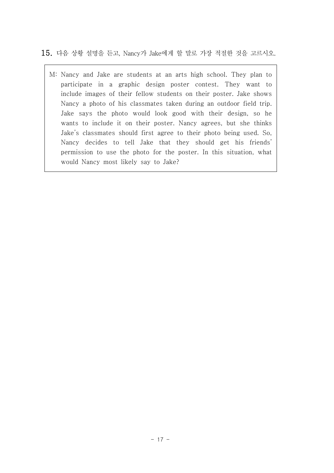15. 다음 상황 설명을 듣고, Nancy가 Jake에게 할 말로 가장 적절한 것을 고르시오.

M: Nancy and Jake are students at an arts high school. They plan to participate in a graphic design poster contest. They want to include images of their fellow students on their poster. Jake shows Nancy a photo of his classmates taken during an outdoor field trip. Jake says the photo would look good with their design, so he wants to include it on their poster. Nancy agrees, but she thinks Jake's classmates should first agree to their photo being used. So, Nancy decides to tell Jake that they should get his friends' permission to use the photo for the poster. In this situation, what would Nancy most likely say to Jake?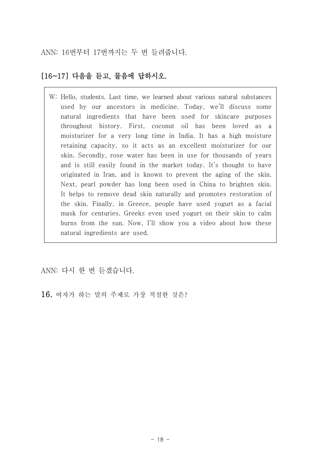ANN: 16번부터 17번까지는 두 번 들려줍니다.

#### [16~17] 다음을 듣고, 물음에 답하시오.

W: Hello, students. Last time, we learned about various natural substances used by our ancestors in medicine. Today, we'll discuss some natural ingredients that have been used for skincare purposes throughout history. First, coconut oil has been loved as a moisturizer for a very long time in India. It has a high moisture retaining capacity, so it acts as an excellent moisturizer for our skin. Secondly, rose water has been in use for thousands of years and is still easily found in the market today. It's thought to have originated in Iran, and is known to prevent the aging of the skin. Next, pearl powder has long been used in China to brighten skin. It helps to remove dead skin naturally and promotes restoration of the skin. Finally, in Greece, people have used yogurt as a facial mask for centuries. Greeks even used yogurt on their skin to calm burns from the sun. Now, I'll show you a video about how these natural ingredients are used.

ANN: 다시 한 번 듣겠습니다.

16. 여자가 하는 말의 주제로 가장 적절한 것은?